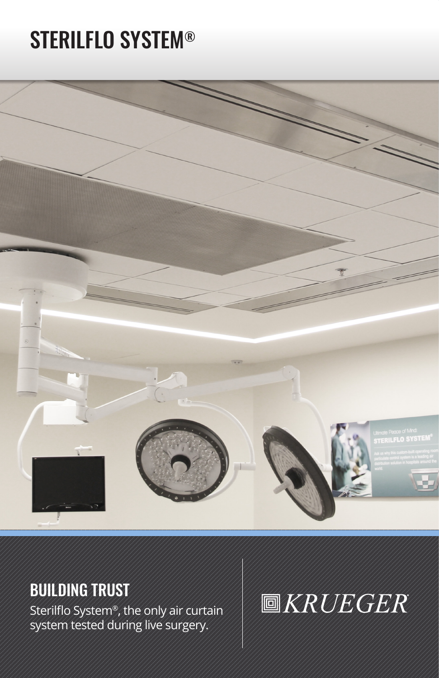# STERILFLO SYSTEM®



# BUILDING TRUST

Sterilflo System®, the only air curtain system tested during live surgery.